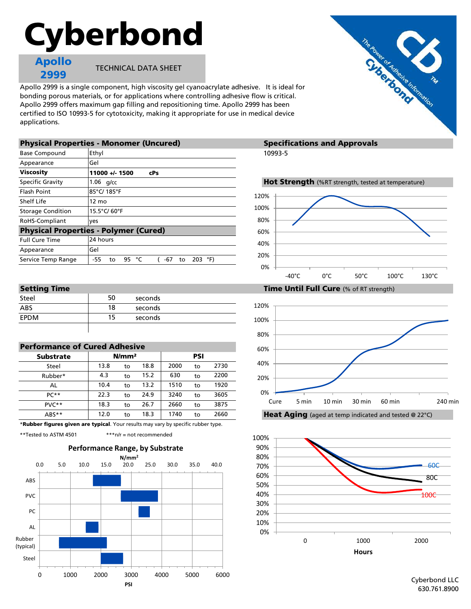# Cyberbond

Apollo 2999

TECHNICAL DATA SHEET

Apollo 2999 is a single component, high viscosity gel cyanoacrylate adhesive. It is ideal for bonding porous materials, or for applications where controlling adhesive flow is critical. Apollo 2999 offers maximum gap filling and repositioning time. Apollo 2999 has been certified to ISO 10993-5 for cytotoxicity, making it appropriate for use in medical device applications.

|                          | <b>Physical Properties - Monomer (Uncured)</b>          | <b>Specifications and Approvals</b>                |  |  |
|--------------------------|---------------------------------------------------------|----------------------------------------------------|--|--|
| <b>Base Compound</b>     | Ethyl                                                   | 10993-5                                            |  |  |
| Appearance               | Gel                                                     |                                                    |  |  |
| <b>Viscosity</b>         | 11000 +/- 1500<br><b>cPs</b>                            |                                                    |  |  |
| Specific Gravity         | $1.06$ g/cc                                             | Hot Strength (%RT strength, tested at temperature) |  |  |
| <b>Flash Point</b>       | 85°C/185°F                                              | 120%                                               |  |  |
| Shelf Life               | $12 \text{ mo}$                                         |                                                    |  |  |
| <b>Storage Condition</b> | 15.5°C/60°F                                             | 100%                                               |  |  |
| RoHS-Compliant           | ves                                                     | 80%                                                |  |  |
|                          | <b>Physical Properties - Polymer (Cured)</b>            | 60%                                                |  |  |
| <b>Full Cure Time</b>    | 24 hours                                                | 40%                                                |  |  |
| Appearance               | Gel                                                     |                                                    |  |  |
| Service Temp Range       | 203 $^{\circ}$ F)<br>-55<br>95<br>°⊂<br>-67<br>to<br>to | 20%                                                |  |  |
|                          |                                                         | $\Omega$                                           |  |  |

| -------<br>------ |    |         |  |  |
|-------------------|----|---------|--|--|
| Steel             | 50 | seconds |  |  |
| ABS               | 18 | seconds |  |  |
| <b>FPDM</b>       | 15 | seconds |  |  |
|                   |    |         |  |  |

| <b>Performance of Cured Adhesive</b> |                   |    |      |      |    |      |  |  |  |
|--------------------------------------|-------------------|----|------|------|----|------|--|--|--|
| <b>Substrate</b>                     | N/mm <sup>2</sup> |    |      | PSI  |    |      |  |  |  |
| Steel                                | 13.8              | to | 18.8 | 2000 | to | 2730 |  |  |  |
| Rubber*                              | 4.3               | to | 15.2 | 630  | to | 2200 |  |  |  |
| AL                                   | 10.4              | to | 13.2 | 1510 | to | 1920 |  |  |  |
| $PC**$                               | 22.3              | to | 24.9 | 3240 | to | 3605 |  |  |  |
| $PVC**$                              | 18.3              | to | 26.7 | 2660 | to | 3875 |  |  |  |
| ABS**                                | 12.0              | to | 18.3 | 1740 | to | 2660 |  |  |  |

\*Rubber figures given are typical. Your results may vary by specific rubber type.

\*\*Tested to ASTM 4501 \*\*\*n/r = not recommended



# **Specifications and Approvals**



# 0% 20% 40% 60% 80% 100% 120% -40°C 0°C 50°C 100°C 130°C









Setting Time Time Time Time Until Full Cure (% of RT strength)